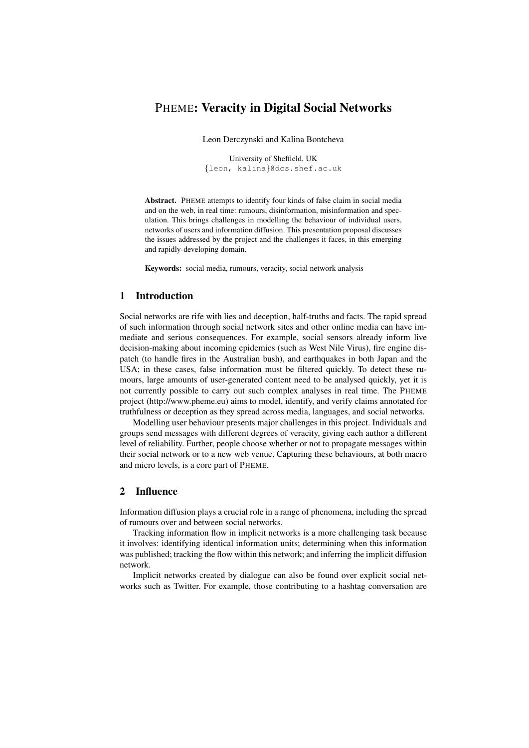# PHEME: Veracity in Digital Social Networks

Leon Derczynski and Kalina Bontcheva

University of Sheffield, UK {leon, kalina}@dcs.shef.ac.uk

Abstract. PHEME attempts to identify four kinds of false claim in social media and on the web, in real time: rumours, disinformation, misinformation and speculation. This brings challenges in modelling the behaviour of individual users, networks of users and information diffusion. This presentation proposal discusses the issues addressed by the project and the challenges it faces, in this emerging and rapidly-developing domain.

Keywords: social media, rumours, veracity, social network analysis

## 1 Introduction

Social networks are rife with lies and deception, half-truths and facts. The rapid spread of such information through social network sites and other online media can have immediate and serious consequences. For example, social sensors already inform live decision-making about incoming epidemics (such as West Nile Virus), fire engine dispatch (to handle fires in the Australian bush), and earthquakes in both Japan and the USA; in these cases, false information must be filtered quickly. To detect these rumours, large amounts of user-generated content need to be analysed quickly, yet it is not currently possible to carry out such complex analyses in real time. The PHEME project (http://www.pheme.eu) aims to model, identify, and verify claims annotated for truthfulness or deception as they spread across media, languages, and social networks.

Modelling user behaviour presents major challenges in this project. Individuals and groups send messages with different degrees of veracity, giving each author a different level of reliability. Further, people choose whether or not to propagate messages within their social network or to a new web venue. Capturing these behaviours, at both macro and micro levels, is a core part of PHEME.

## 2 Influence

Information diffusion plays a crucial role in a range of phenomena, including the spread of rumours over and between social networks.

Tracking information flow in implicit networks is a more challenging task because it involves: identifying identical information units; determining when this information was published; tracking the flow within this network; and inferring the implicit diffusion network.

Implicit networks created by dialogue can also be found over explicit social networks such as Twitter. For example, those contributing to a hashtag conversation are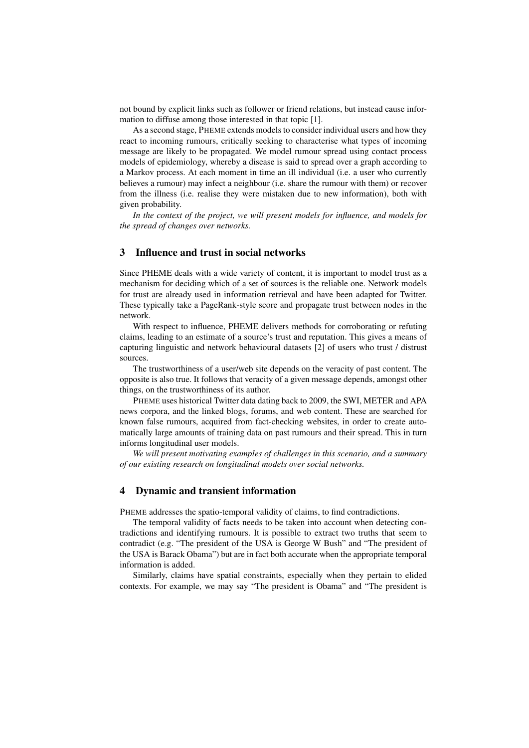not bound by explicit links such as follower or friend relations, but instead cause information to diffuse among those interested in that topic [1].

As a second stage, PHEME extends models to consider individual users and how they react to incoming rumours, critically seeking to characterise what types of incoming message are likely to be propagated. We model rumour spread using contact process models of epidemiology, whereby a disease is said to spread over a graph according to a Markov process. At each moment in time an ill individual (i.e. a user who currently believes a rumour) may infect a neighbour (i.e. share the rumour with them) or recover from the illness (i.e. realise they were mistaken due to new information), both with given probability.

*In the context of the project, we will present models for influence, and models for the spread of changes over networks.*

## 3 Influence and trust in social networks

Since PHEME deals with a wide variety of content, it is important to model trust as a mechanism for deciding which of a set of sources is the reliable one. Network models for trust are already used in information retrieval and have been adapted for Twitter. These typically take a PageRank-style score and propagate trust between nodes in the network.

With respect to influence, PHEME delivers methods for corroborating or refuting claims, leading to an estimate of a source's trust and reputation. This gives a means of capturing linguistic and network behavioural datasets [2] of users who trust / distrust sources.

The trustworthiness of a user/web site depends on the veracity of past content. The opposite is also true. It follows that veracity of a given message depends, amongst other things, on the trustworthiness of its author.

PHEME uses historical Twitter data dating back to 2009, the SWI, METER and APA news corpora, and the linked blogs, forums, and web content. These are searched for known false rumours, acquired from fact-checking websites, in order to create automatically large amounts of training data on past rumours and their spread. This in turn informs longitudinal user models.

*We will present motivating examples of challenges in this scenario, and a summary of our existing research on longitudinal models over social networks.*

#### 4 Dynamic and transient information

PHEME addresses the spatio-temporal validity of claims, to find contradictions.

The temporal validity of facts needs to be taken into account when detecting contradictions and identifying rumours. It is possible to extract two truths that seem to contradict (e.g. "The president of the USA is George W Bush" and "The president of the USA is Barack Obama") but are in fact both accurate when the appropriate temporal information is added.

Similarly, claims have spatial constraints, especially when they pertain to elided contexts. For example, we may say "The president is Obama" and "The president is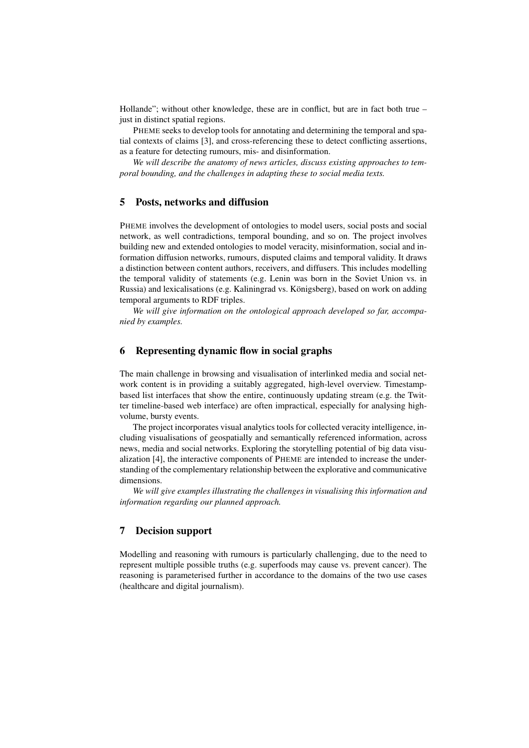Hollande"; without other knowledge, these are in conflict, but are in fact both true – just in distinct spatial regions.

PHEME seeks to develop tools for annotating and determining the temporal and spatial contexts of claims [3], and cross-referencing these to detect conflicting assertions, as a feature for detecting rumours, mis- and disinformation.

*We will describe the anatomy of news articles, discuss existing approaches to temporal bounding, and the challenges in adapting these to social media texts.*

#### 5 Posts, networks and diffusion

PHEME involves the development of ontologies to model users, social posts and social network, as well contradictions, temporal bounding, and so on. The project involves building new and extended ontologies to model veracity, misinformation, social and information diffusion networks, rumours, disputed claims and temporal validity. It draws a distinction between content authors, receivers, and diffusers. This includes modelling the temporal validity of statements (e.g. Lenin was born in the Soviet Union vs. in Russia) and lexicalisations (e.g. Kaliningrad vs. Königsberg), based on work on adding temporal arguments to RDF triples.

*We will give information on the ontological approach developed so far, accompanied by examples.*

#### 6 Representing dynamic flow in social graphs

The main challenge in browsing and visualisation of interlinked media and social network content is in providing a suitably aggregated, high-level overview. Timestampbased list interfaces that show the entire, continuously updating stream (e.g. the Twitter timeline-based web interface) are often impractical, especially for analysing highvolume, bursty events.

The project incorporates visual analytics tools for collected veracity intelligence, including visualisations of geospatially and semantically referenced information, across news, media and social networks. Exploring the storytelling potential of big data visualization [4], the interactive components of PHEME are intended to increase the understanding of the complementary relationship between the explorative and communicative dimensions.

*We will give examples illustrating the challenges in visualising this information and information regarding our planned approach.*

#### 7 Decision support

Modelling and reasoning with rumours is particularly challenging, due to the need to represent multiple possible truths (e.g. superfoods may cause vs. prevent cancer). The reasoning is parameterised further in accordance to the domains of the two use cases (healthcare and digital journalism).